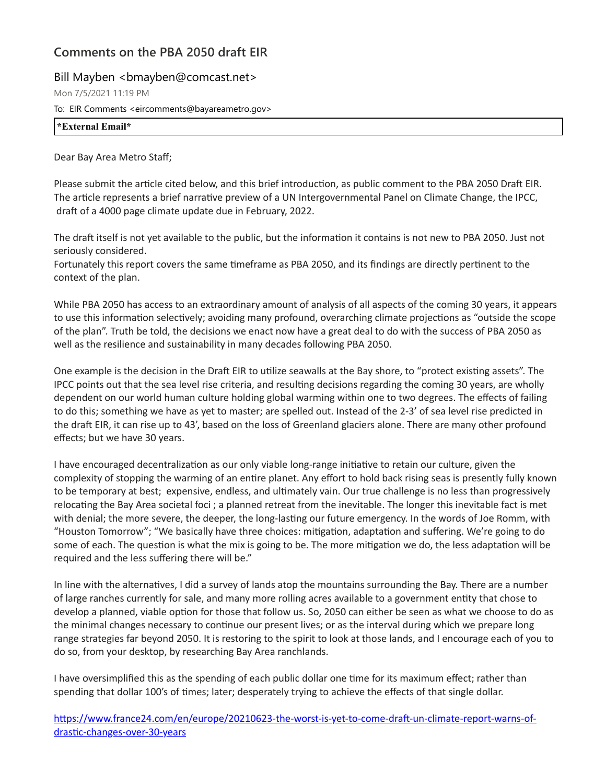## **Comments on the PBA 2050 draft EIR**

## Bill Mayben < bmayben@comcast.net>

Mon 7/5/2021 11:19 PM

To: EIR Comments <eircomments@bayareametro.gov>

| <br>$\mathcal{A}$ . The $\mathcal{A}$<br>$\pi$ .<br>лпаг<br>------------------- |  |  |  |
|---------------------------------------------------------------------------------|--|--|--|
|                                                                                 |  |  |  |

Dear Bay Area Metro Staff;

Please submit the article cited below, and this brief introduction, as public comment to the PBA 2050 Draft EIR. The article represents a brief narrative preview of a UN Intergovernmental Panel on Climate Change, the IPCC, draft of a 4000 page climate update due in February, 2022.

The draft itself is not yet available to the public, but the information it contains is not new to PBA 2050. Just not seriously considered.

Fortunately this report covers the same timeframe as PBA 2050, and its findings are directly pertinent to the context of the plan.

While PBA 2050 has access to an extraordinary amount of analysis of all aspects of the coming 30 years, it appears to use this information selectively; avoiding many profound, overarching climate projections as "outside the scope of the plan". Truth be told, the decisions we enact now have a great deal to do with the success of PBA 2050 as well as the resilience and sustainability in many decades following PBA 2050.

One example is the decision in the Draft EIR to utilize seawalls at the Bay shore, to "protect existing assets". The IPCC points out that the sea level rise criteria, and resulting decisions regarding the coming 30 years, are wholly dependent on our world human culture holding global warming within one to two degrees. The effects of failing to do this; something we have as yet to master; are spelled out. Instead of the 2-3' of sea level rise predicted in the draft EIR, it can rise up to 43', based on the loss of Greenland glaciers alone. There are many other profound effects; but we have 30 years.

I have encouraged decentralization as our only viable long-range initiative to retain our culture, given the complexity of stopping the warming of an entire planet. Any effort to hold back rising seas is presently fully known to be temporary at best; expensive, endless, and ultimately vain. Our true challenge is no less than progressively relocating the Bay Area societal foci ; a planned retreat from the inevitable. The longer this inevitable fact is met with denial; the more severe, the deeper, the long-lasting our future emergency. In the words of Joe Romm, with "Houston Tomorrow"; "We basically have three choices: mitigation, adaptation and suffering. We're going to do some of each. The question is what the mix is going to be. The more mitigation we do, the less adaptation will be required and the less suffering there will be."

In line with the alternatives, I did a survey of lands atop the mountains surrounding the Bay. There are a number of large ranches currently for sale, and many more rolling acres available to a government entity that chose to develop a planned, viable option for those that follow us. So, 2050 can either be seen as what we choose to do as the minimal changes necessary to continue our present lives; or as the interval during which we prepare long range strategies far beyond 2050. It is restoring to the spirit to look at those lands, and I encourage each of you to do so, from your desktop, by researching Bay Area ranchlands.

I have oversimplified this as the spending of each public dollar one time for its maximum effect; rather than spending that dollar 100's of times; later; desperately trying to achieve the effects of that single dollar.

[https://www.france24.com/en/europe/20210623-the-worst-is-yet-to-come-draft-un-climate-report-warns-of](https://nam10.safelinks.protection.outlook.com/?url=https%3A%2F%2Fwww.france24.com%2Fen%2Feurope%2F20210623-the-worst-is-yet-to-come-draft-un-climate-report-warns-of-drastic-changes-over-30-years&data=04%7C01%7Ceircomments%40bayareametro.gov%7Cb578fadacc3844c2cd7108d9400b4edb%7Cb084c4a0bb194142b70382ea65a5eeb2%7C0%7C1%7C637611239616035515%7CUnknown%7CTWFpbGZsb3d8eyJWIjoiMC4wLjAwMDAiLCJQIjoiV2luMzIiLCJBTiI6Ik1haWwiLCJXVCI6Mn0%3D%7C3000&sdata=KI6ZECpYO83YVmx%2B%2FlV8U08fwlfZ%2FRdHHwUbk6dOE74%3D&reserved=0)drastic-changes-over-30-years